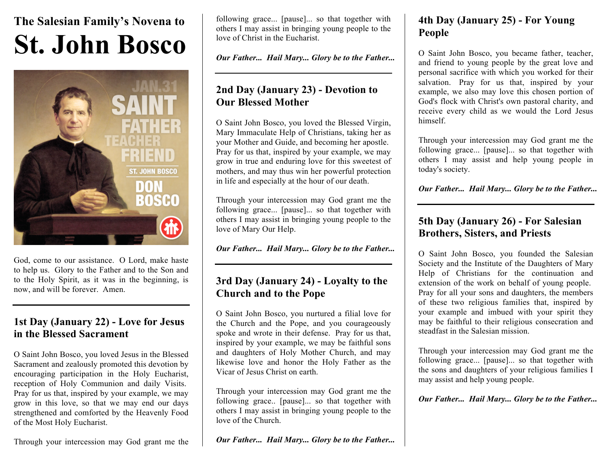# **The Salesian Family's Novena to St. John Bosco**



God, come to our assistance. O Lord, make haste to help us. Glory to the Father and to the Son and to the Holy Spirit, as it was in the beginning, is now, and will be forever. Amen.

#### **1st Day (January 22) - Love for Jesus in the Blessed Sacrament**

O Saint John Bosco, you loved Jesus in the Blessed Sacrament and zealously promoted this devotion by encouraging participation in the Holy Eucharist, reception of Holy Communion and daily Visits. Pray for us that, inspired by your example, we may grow in this love, so that we may end our days strengthened and comforted by the Heavenly Food of the Most Holy Eucharist.

Through your intercession may God grant me the

following grace... [pause]... so that together with others I may assist in bringing young people to the love of Christ in the Eucharist.

*Our Father... Hail Mary... Glory be to the Father...*

### **2nd Day (January 23) - Devotion to Our Blessed Mother**

O Saint John Bosco, you loved the Blessed Virgin, Mary Immaculate Help of Christians, taking her as your Mother and Guide, and becoming her apostle. Pray for us that, inspired by your example, we may grow in true and enduring love for this sweetest of mothers, and may thus win her powerful protection in life and especially at the hour of our death.

Through your intercession may God grant me the following grace... [pause]... so that together with others I may assist in bringing young people to the love of Mary Our Help.

*Our Father... Hail Mary... Glory be to the Father...*

## **3rd Day (January 24) - Loyalty to the Church and to the Pope**

O Saint John Bosco, you nurtured a filial love for the Church and the Pope, and you courageously spoke and wrote in their defense. Pray for us that, inspired by your example, we may be faithful sons and daughters of Holy Mother Church, and may likewise love and honor the Holy Father as the Vicar of Jesus Christ on earth.

Through your intercession may God grant me the following grace.. [pause]... so that together with others I may assist in bringing young people to the love of the Church.

*Our Father... Hail Mary... Glory be to the Father...*

# **4th Day (January 25) - For Young People**

O Saint John Bosco, you became father, teacher, and friend to young people by the great love and personal sacrifice with which you worked for their salvation. Pray for us that, inspired by your example, we also may love this chosen portion of God's flock with Christ's own pastoral charity, and receive every child as we would the Lord Jesus himself.

Through your intercession may God grant me the following grace... [pause]... so that together with others I may assist and help young people in today's society.

*Our Father... Hail Mary... Glory be to the Father...*

# **5th Day (January 26) - For Salesian Brothers, Sisters, and Priests**

O Saint John Bosco, you founded the Salesian Society and the Institute of the Daughters of Mary Help of Christians for the continuation and extension of the work on behalf of young people. Pray for all your sons and daughters, the members of these two religious families that, inspired by your example and imbued with your spirit they may be faithful to their religious consecration and steadfast in the Salesian mission.

Through your intercession may God grant me the following grace... [pause]... so that together with the sons and daughters of your religious families I may assist and help young people.

*Our Father... Hail Mary... Glory be to the Father...*